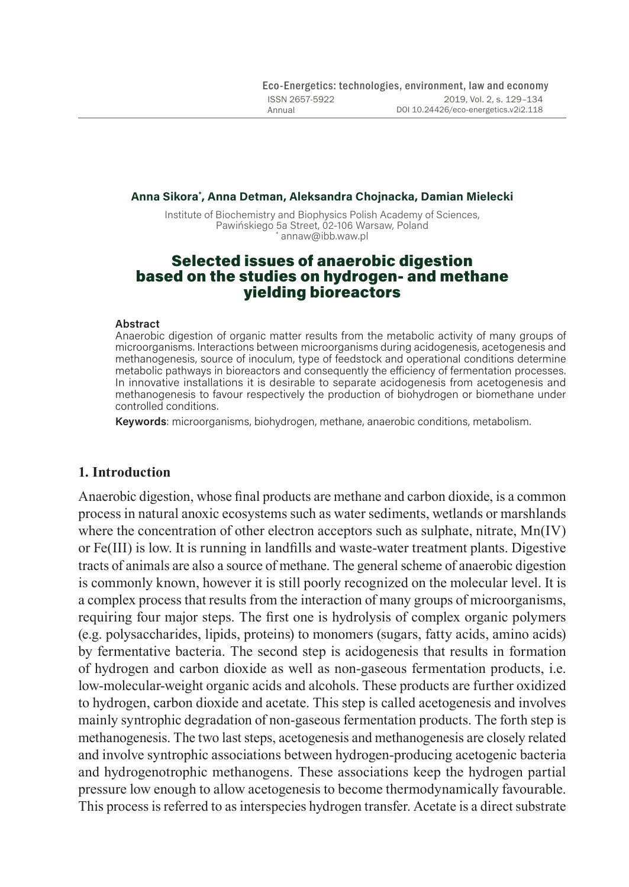#### **Anna Sikora\* , Anna Detman, Aleksandra Chojnacka, Damian Mielecki**

Institute of Biochemistry and Biophysics Polish Academy of Sciences, Pawińskiego 5a Street, 02-106 Warsaw, Poland<br>\* annaw@ibb.waw.pl

## Selected issues of anaerobic digestion based on the studies on hydrogen- and methane yielding bioreactors

#### **Abstract**

Anaerobic digestion of organic matter results from the metabolic activity of many groups of microorganisms. Interactions between microorganisms during acidogenesis, acetogenesis and methanogenesis, source of inoculum, type of feedstock and operational conditions determine metabolic pathways in bioreactors and consequently the efficiency of fermentation processes. In innovative installations it is desirable to separate acidogenesis from acetogenesis and methanogenesis to favour respectively the production of biohydrogen or biomethane under controlled conditions.

**Keywords**: microorganisms, biohydrogen, methane, anaerobic conditions, metabolism.

### **1. Introduction**

Anaerobic digestion, whose final products are methane and carbon dioxide, is a common process in natural anoxic ecosystems such as water sediments, wetlands or marshlands where the concentration of other electron acceptors such as sulphate, nitrate,  $Mn(IV)$ or Fe(III) is low. It is running in landfills and waste-water treatment plants. Digestive tracts of animals are also a source of methane. The general scheme of anaerobic digestion is commonly known, however it is still poorly recognized on the molecular level. It is a complex process that results from the interaction of many groups of microorganisms, requiring four major steps. The first one is hydrolysis of complex organic polymers (e.g. polysaccharides, lipids, proteins) to monomers (sugars, fatty acids, amino acids) by fermentative bacteria. The second step is acidogenesis that results in formation of hydrogen and carbon dioxide as well as non-gaseous fermentation products, i.e. low-molecular-weight organic acids and alcohols. These products are further oxidized to hydrogen, carbon dioxide and acetate. This step is called acetogenesis and involves mainly syntrophic degradation of non-gaseous fermentation products. The forth step is methanogenesis. The two last steps, acetogenesis and methanogenesis are closely related and involve syntrophic associations between hydrogen-producing acetogenic bacteria and hydrogenotrophic methanogens. These associations keep the hydrogen partial pressure low enough to allow acetogenesis to become thermodynamically favourable. This process is referred to as interspecies hydrogen transfer. Acetate is a direct substrate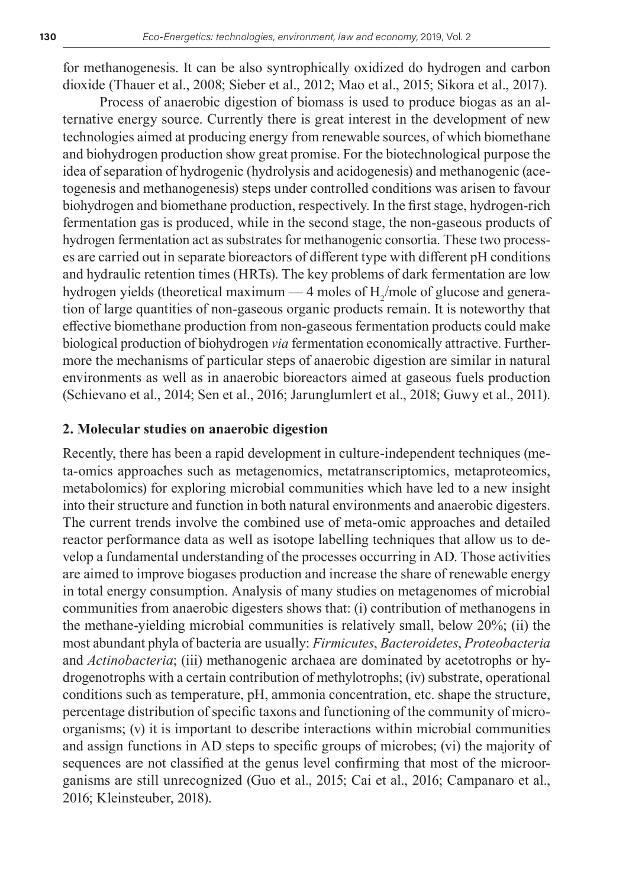for methanogenesis. It can be also syntrophically oxidized do hydrogen and carbon dioxide (Thauer et al., 2008; Sieber et al., 2012; Mao et al., 2015; Sikora et al., 2017).

Process of anaerobic digestion of biomass is used to produce biogas as an alternative energy source. Currently there is great interest in the development of new technologies aimed at producing energy from renewable sources, of which biomethane and biohydrogen production show great promise. For the biotechnological purpose the idea of separation of hydrogenic (hydrolysis and acidogenesis) and methanogenic (acetogenesis and methanogenesis) steps under controlled conditions was arisen to favour biohydrogen and biomethane production, respectively. In the first stage, hydrogen-rich fermentation gas is produced, while in the second stage, the non-gaseous products of hydrogen fermentation act as substrates for methanogenic consortia. These two processes are carried out in separate bioreactors of different type with different pH conditions and hydraulic retention times (HRTs). The key problems of dark fermentation are low hydrogen yields (theoretical maximum — 4 moles of  $H_2$ /mole of glucose and generation of large quantities of non-gaseous organic products remain. It is noteworthy that effective biomethane production from non-gaseous fermentation products could make biological production of biohydrogen *via* fermentation economically attractive. Furthermore the mechanisms of particular steps of anaerobic digestion are similar in natural environments as well as in anaerobic bioreactors aimed at gaseous fuels production (Schievano et al., 2014; Sen et al., 2016; Jarunglumlert et al., 2018; Guwy et al., 2011).

#### **2. Molecular studies on anaerobic digestion**

Recently, there has been a rapid development in culture-independent techniques (meta-omics approaches such as metagenomics, metatranscriptomics, metaproteomics, metabolomics) for exploring microbial communities which have led to a new insight into their structure and function in both natural environments and anaerobic digesters. The current trends involve the combined use of meta-omic approaches and detailed reactor performance data as well as isotope labelling techniques that allow us to develop a fundamental understanding of the processes occurring in AD. Those activities are aimed to improve biogases production and increase the share of renewable energy in total energy consumption. Analysis of many studies on metagenomes of microbial communities from anaerobic digesters shows that: (i) contribution of methanogens in the methane-yielding microbial communities is relatively small, below 20%; (ii) the most abundant phyla of bacteria are usually: *Firmicutes*, *Bacteroidetes*, *Proteobacteria* and *Actinobacteria*; (iii) methanogenic archaea are dominated by acetotrophs or hydrogenotrophs with a certain contribution of methylotrophs; (iv) substrate, operational conditions such as temperature, pH, ammonia concentration, etc. shape the structure, percentage distribution of specific taxons and functioning of the community of microorganisms; (v) it is important to describe interactions within microbial communities and assign functions in AD steps to specific groups of microbes; (vi) the majority of sequences are not classified at the genus level confirming that most of the microorganisms are still unrecognized (Guo et al., 2015; Cai et al., 2016; Campanaro et al., 2016; Kleinsteuber, 2018).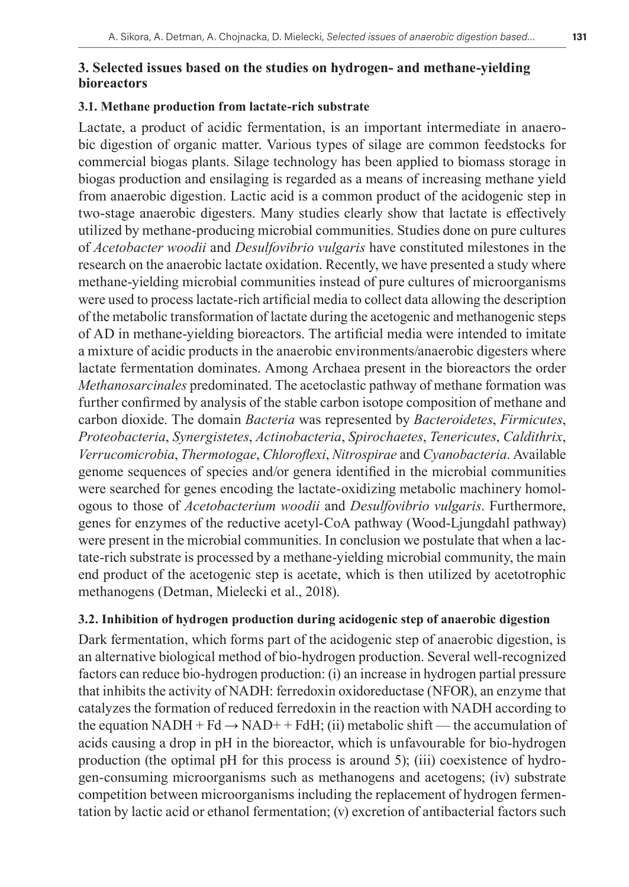# **3. Selected issues based on the studies on hydrogen- and methane-yielding bioreactors**

# **3.1. Methane production from lactate-rich substrate**

Lactate, a product of acidic fermentation, is an important intermediate in anaerobic digestion of organic matter. Various types of silage are common feedstocks for commercial biogas plants. Silage technology has been applied to biomass storage in biogas production and ensilaging is regarded as a means of increasing methane yield from anaerobic digestion. Lactic acid is a common product of the acidogenic step in two-stage anaerobic digesters. Many studies clearly show that lactate is effectively utilized by methane-producing microbial communities. Studies done on pure cultures of *Acetobacter woodii* and *Desulfovibrio vulgaris* have constituted milestones in the research on the anaerobic lactate oxidation. Recently, we have presented a study where methane-yielding microbial communities instead of pure cultures of microorganisms were used to process lactate-rich artificial media to collect data allowing the description of the metabolic transformation of lactate during the acetogenic and methanogenic steps of AD in methane-yielding bioreactors. The artificial media were intended to imitate a mixture of acidic products in the anaerobic environments/anaerobic digesters where lactate fermentation dominates. Among Archaea present in the bioreactors the order *Methanosarcinales* predominated. The acetoclastic pathway of methane formation was further confirmed by analysis of the stable carbon isotope composition of methane and carbon dioxide. The domain *Bacteria* was represented by *Bacteroidetes*, *Firmicutes*, *Proteobacteria*, *Synergistetes*, *Actinobacteria*, *Spirochaetes*, *Tenericutes*, *Caldithrix*, *Verrucomicrobia*, *Thermotogae*, *Chloroflexi*, *Nitrospirae* and *Cyanobacteria*. Available genome sequences of species and/or genera identified in the microbial communities were searched for genes encoding the lactate-oxidizing metabolic machinery homologous to those of *Acetobacterium woodii* and *Desulfovibrio vulgaris*. Furthermore, genes for enzymes of the reductive acetyl-CoA pathway (Wood-Ljungdahl pathway) were present in the microbial communities. In conclusion we postulate that when a lactate-rich substrate is processed by a methane-yielding microbial community, the main end product of the acetogenic step is acetate, which is then utilized by acetotrophic methanogens (Detman, Mielecki et al., 2018).

# **3.2. Inhibition of hydrogen production during acidogenic step of anaerobic digestion**

Dark fermentation, which forms part of the acidogenic step of anaerobic digestion, is an alternative biological method of bio-hydrogen production. Several well-recognized factors can reduce bio-hydrogen production: (i) an increase in hydrogen partial pressure that inhibits the activity of NADH: ferredoxin oxidoreductase (NFOR), an enzyme that catalyzes the formation of reduced ferredoxin in the reaction with NADH according to the equation NADH + Fd  $\rightarrow$  NAD+ + FdH; (ii) metabolic shift — the accumulation of acids causing a drop in pH in the bioreactor, which is unfavourable for bio-hydrogen production (the optimal pH for this process is around 5); (iii) coexistence of hydrogen-consuming microorganisms such as methanogens and acetogens; (iv) substrate competition between microorganisms including the replacement of hydrogen fermentation by lactic acid or ethanol fermentation; (v) excretion of antibacterial factors such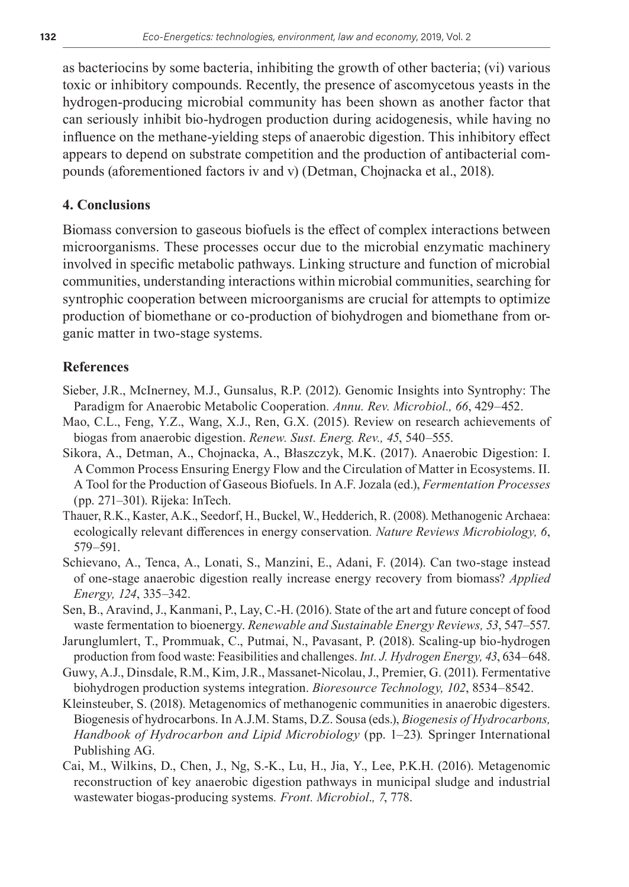as bacteriocins by some bacteria, inhibiting the growth of other bacteria; (vi) various toxic or inhibitory compounds. Recently, the presence of ascomycetous yeasts in the hydrogen-producing microbial community has been shown as another factor that can seriously inhibit bio-hydrogen production during acidogenesis, while having no influence on the methane-yielding steps of anaerobic digestion. This inhibitory effect appears to depend on substrate competition and the production of antibacterial compounds (aforementioned factors iv and v) (Detman, Chojnacka et al., 2018).

## **4. Conclusions**

Biomass conversion to gaseous biofuels is the effect of complex interactions between microorganisms. These processes occur due to the microbial enzymatic machinery involved in specific metabolic pathways. Linking structure and function of microbial communities, understanding interactions within microbial communities, searching for syntrophic cooperation between microorganisms are crucial for attempts to optimize production of biomethane or co-production of biohydrogen and biomethane from organic matter in two-stage systems.

### **References**

- Sieber, J.R., McInerney, M.J., Gunsalus, R.P. (2012). Genomic Insights into Syntrophy: The Paradigm for Anaerobic Metabolic Cooperation*. Annu. Rev. Microbiol., 66*, 429–452.
- Mao, C.L., Feng, Y.Z., Wang, X.J., Ren, G.X. (2015). Review on research achievements of biogas from anaerobic digestion. *Renew. Sust. Energ. Rev., 45*, 540–555.
- Sikora, A., Detman, A., Chojnacka, A., Błaszczyk, M.K. (2017). Anaerobic Digestion: I. A Common Process Ensuring Energy Flow and the Circulation of Matter in Ecosystems. II. A Tool for the Production of Gaseous Biofuels. In A.F. Jozala (ed.), *Fermentation Processes*  (pp. 271–301). Rijeka: InTech.
- Thauer, R.K., Kaster, A.K., Seedorf, H., Buckel, W., Hedderich, R. (2008). Methanogenic Archaea: ecologically relevant differences in energy conservation*. Nature Reviews Microbiology, 6*, 579–591.
- Schievano, A., Tenca, A., Lonati, S., Manzini, E., Adani, F. (2014). Can two-stage instead of one-stage anaerobic digestion really increase energy recovery from biomass? *Applied Energy, 124*, 335–342.
- Sen, B., Aravind, J., Kanmani, P., Lay, C.-H. (2016). State of the art and future concept of food waste fermentation to bioenergy. *Renewable and Sustainable Energy Reviews, 53*, 547–557.
- Jarunglumlert, T., Prommuak, C., Putmai, N., Pavasant, P. (2018). Scaling-up bio-hydrogen production from food waste: Feasibilities and challenges. *Int. J. Hydrogen Energy, 43*, 634–648.
- Guwy, A.J., Dinsdale, R.M., Kim, J.R., Massanet-Nicolau, J., Premier, G. (2011). Fermentative biohydrogen production systems integration. *Bioresource Technology, 102*, 8534–8542.
- Kleinsteuber, S. (2018). Metagenomics of methanogenic communities in anaerobic digesters. Biogenesis of hydrocarbons. In A.J.M. Stams, D.Z. Sousa (eds.), *Biogenesis of Hydrocarbons, Handbook of Hydrocarbon and Lipid Microbiology* (pp. 1–23)*.* Springer International Publishing AG.
- Cai, M., Wilkins, D., Chen, J., Ng, S.-K., Lu, H., Jia, Y., Lee, P.K.H. (2016). Metagenomic reconstruction of key anaerobic digestion pathways in municipal sludge and industrial wastewater biogas-producing systems*. Front. Microbiol*.*, 7*, 778.